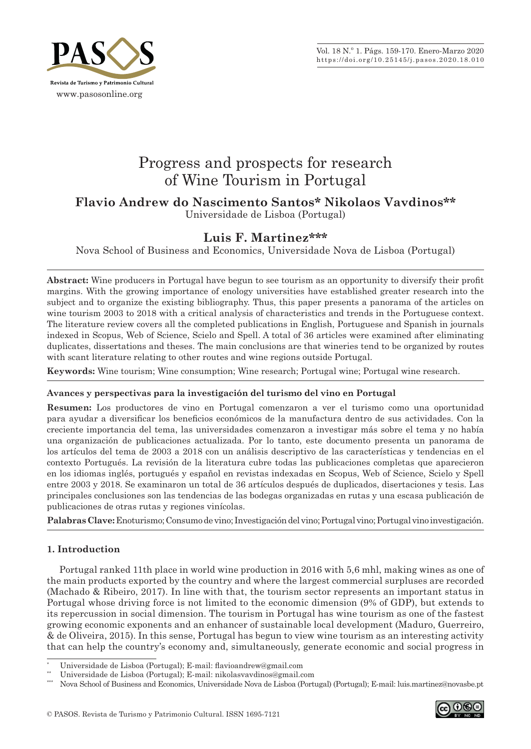

# Progress and prospects for research of Wine Tourism in Portugal

# **Flavio Andrew do Nascimento Santos\* Nikolaos Vavdinos\*\***

Universidade de Lisboa (Portugal)

# **Luis F. Martinez\*\*\***

Nova School of Business and Economics, Universidade Nova de Lisboa (Portugal)

**Abstract:** Wine producers in Portugal have begun to see tourism as an opportunity to diversify their profit margins. With the growing importance of enology universities have established greater research into the subject and to organize the existing bibliography. Thus, this paper presents a panorama of the articles on wine tourism 2003 to 2018 with a critical analysis of characteristics and trends in the Portuguese context. The literature review covers all the completed publications in English, Portuguese and Spanish in journals indexed in Scopus, Web of Science, Scielo and Spell. A total of 36 articles were examined after eliminating duplicates, dissertations and theses. The main conclusions are that wineries tend to be organized by routes with scant literature relating to other routes and wine regions outside Portugal.

**Keywords:** Wine tourism; Wine consumption; Wine research; Portugal wine; Portugal wine research.

### **Avances y perspectivas para la investigación del turismo del vino en Portugal**

**Resumen:** Los productores de vino en Portugal comenzaron a ver el turismo como una oportunidad para ayudar a diversificar los beneficios económicos de la manufactura dentro de sus actividades. Con la creciente importancia del tema, las universidades comenzaron a investigar más sobre el tema y no había una organización de publicaciones actualizada. Por lo tanto, este documento presenta un panorama de los artículos del tema de 2003 a 2018 con un análisis descriptivo de las características y tendencias en el contexto Portugués. La revisión de la literatura cubre todas las publicaciones completas que aparecieron en los idiomas inglés, portugués y español en revistas indexadas en Scopus, Web of Science, Scielo y Spell entre 2003 y 2018. Se examinaron un total de 36 artículos después de duplicados, disertaciones y tesis. Las principales conclusiones son las tendencias de las bodegas organizadas en rutas y una escasa publicación de publicaciones de otras rutas y regiones vinícolas.

**Palabras Clave:** Enoturismo; Consumo de vino; Investigación del vino; Portugal vino; Portugal vino investigación.

# **1. Introduction**

Portugal ranked 11th place in world wine production in 2016 with 5,6 mhl, making wines as one of the main products exported by the country and where the largest commercial surpluses are recorded (Machado & Ribeiro, 2017). In line with that, the tourism sector represents an important status in Portugal whose driving force is not limited to the economic dimension (9% of GDP), but extends to its repercussion in social dimension. The tourism in Portugal has wine tourism as one of the fastest growing economic exponents and an enhancer of sustainable local development (Maduro, Guerreiro, & de Oliveira, 2015). In this sense, Portugal has begun to view wine tourism as an interesting activity that can help the country's economy and, simultaneously, generate economic and social progress in

Universidade de Lisboa (Portugal); E-mail: flavioandrew@gmail.com<br>Universidade de Lisboa (Portugal); E-mail: nikolasvavdinos@gmail.com

Nova School of Business and Economics, Universidade Nova de Lisboa (Portugal) (Portugal); E‑mail: luis.martinez@novasbe.pt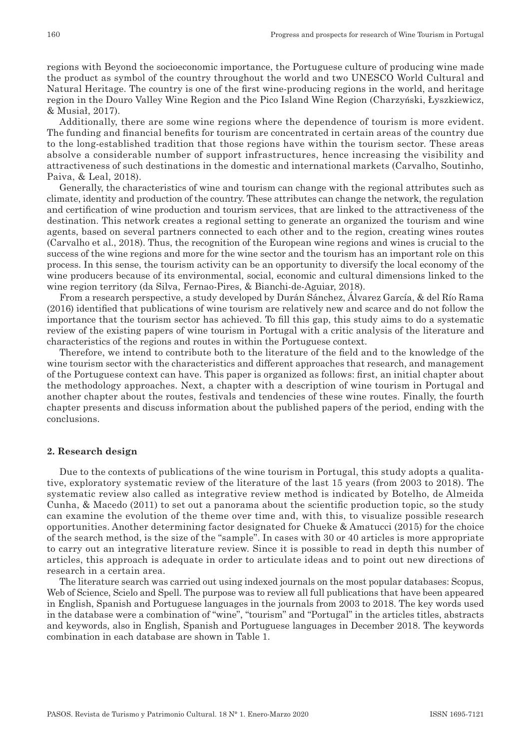regions with Beyond the socioeconomic importance, the Portuguese culture of producing wine made the product as symbol of the country throughout the world and two UNESCO World Cultural and Natural Heritage. The country is one of the first wine‑producing regions in the world, and heritage region in the Douro Valley Wine Region and the Pico Island Wine Region (Charzyński, Łyszkiewicz, & Musiał, 2017).

Additionally, there are some wine regions where the dependence of tourism is more evident. The funding and financial benefits for tourism are concentrated in certain areas of the country due to the long‑established tradition that those regions have within the tourism sector. These areas absolve a considerable number of support infrastructures, hence increasing the visibility and attractiveness of such destinations in the domestic and international markets (Carvalho, Soutinho, Paiva, & Leal, 2018).

Generally, the characteristics of wine and tourism can change with the regional attributes such as climate, identity and production of the country. These attributes can change the network, the regulation and certification of wine production and tourism services, that are linked to the attractiveness of the destination. This network creates a regional setting to generate an organized the tourism and wine agents, based on several partners connected to each other and to the region, creating wines routes (Carvalho et al., 2018). Thus, the recognition of the European wine regions and wines is crucial to the success of the wine regions and more for the wine sector and the tourism has an important role on this process. In this sense, the tourism activity can be an opportunity to diversify the local economy of the wine producers because of its environmental, social, economic and cultural dimensions linked to the wine region territory (da Silva, Fernao-Pires, & Bianchi-de-Aguiar, 2018).

From a research perspective, a study developed by Durán Sánchez, Álvarez García, & del Río Rama (2016) identified that publications of wine tourism are relatively new and scarce and do not follow the importance that the tourism sector has achieved. To fill this gap, this study aims to do a systematic review of the existing papers of wine tourism in Portugal with a critic analysis of the literature and characteristics of the regions and routes in within the Portuguese context.

Therefore, we intend to contribute both to the literature of the field and to the knowledge of the wine tourism sector with the characteristics and different approaches that research, and management of the Portuguese context can have. This paper is organized as follows: first, an initial chapter about the methodology approaches. Next, a chapter with a description of wine tourism in Portugal and another chapter about the routes, festivals and tendencies of these wine routes. Finally, the fourth chapter presents and discuss information about the published papers of the period, ending with the conclusions.

#### **2. Research design**

Due to the contexts of publications of the wine tourism in Portugal, this study adopts a qualitative, exploratory systematic review of the literature of the last 15 years (from 2003 to 2018). The systematic review also called as integrative review method is indicated by Botelho, de Almeida Cunha, & Macedo (2011) to set out a panorama about the scientific production topic, so the study can examine the evolution of the theme over time and, with this, to visualize possible research opportunities. Another determining factor designated for Chueke & Amatucci (2015) for the choice of the search method, is the size of the "sample". In cases with 30 or 40 articles is more appropriate to carry out an integrative literature review. Since it is possible to read in depth this number of articles, this approach is adequate in order to articulate ideas and to point out new directions of research in a certain area.

The literature search was carried out using indexed journals on the most popular databases: Scopus, Web of Science, Scielo and Spell. The purpose was to review all full publications that have been appeared in English, Spanish and Portuguese languages in the journals from 2003 to 2018. The key words used in the database were a combination of "wine", "tourism" and "Portugal" in the articles titles, abstracts and keywords, also in English, Spanish and Portuguese languages in December 2018. The keywords combination in each database are shown in Table 1.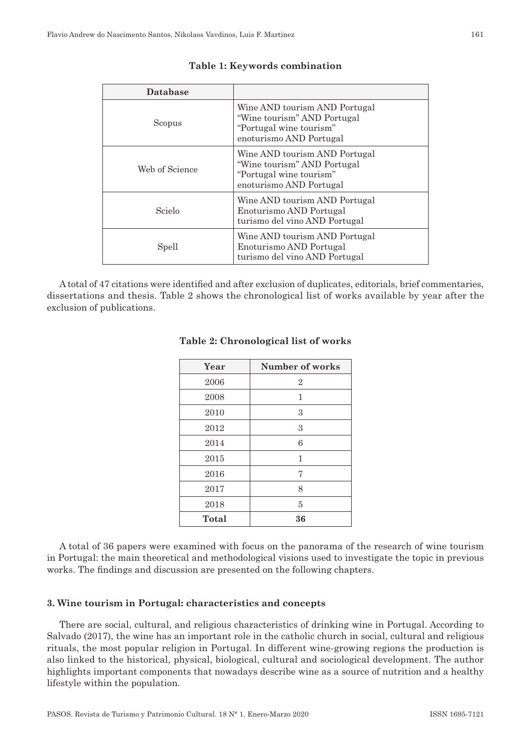| Database       |                                                                                                                    |
|----------------|--------------------------------------------------------------------------------------------------------------------|
| Scopus         | Wine AND tourism AND Portugal<br>"Wine tourism" AND Portugal<br>"Portugal wine tourism"<br>enoturismo AND Portugal |
| Web of Science | Wine AND tourism AND Portugal<br>"Wine tourism" AND Portugal<br>"Portugal wine tourism"<br>enoturismo AND Portugal |
| Scielo         | Wine AND tourism AND Portugal<br>Enoturismo AND Portugal<br>turismo del vino AND Portugal                          |
| Spell          | Wine AND tourism AND Portugal<br>Enoturismo AND Portugal<br>turismo del vino AND Portugal                          |

#### **Table 1: Keywords combination**

A total of 47 citations were identified and after exclusion of duplicates, editorials, brief commentaries, dissertations and thesis. Table 2 shows the chronological list of works available by year after the exclusion of publications.

| Year  | Number of works |
|-------|-----------------|
| 2006  | $\overline{2}$  |
| 2008  | 1               |
| 2010  | 3               |
| 2012  | 3               |
| 2014  | 6               |
| 2015  | 1               |
| 2016  | 7               |
| 2017  | 8               |
| 2018  | 5               |
| Total | 36              |

#### **Table 2: Chronological list of works**

A total of 36 papers were examined with focus on the panorama of the research of wine tourism in Portugal: the main theoretical and methodological visions used to investigate the topic in previous works. The findings and discussion are presented on the following chapters.

#### **3. Wine tourism in Portugal: characteristics and concepts**

There are social, cultural, and religious characteristics of drinking wine in Portugal. According to Salvado (2017), the wine has an important role in the catholic church in social, cultural and religious rituals, the most popular religion in Portugal. In different wine‑growing regions the production is also linked to the historical, physical, biological, cultural and sociological development. The author highlights important components that nowadays describe wine as a source of nutrition and a healthy lifestyle within the population.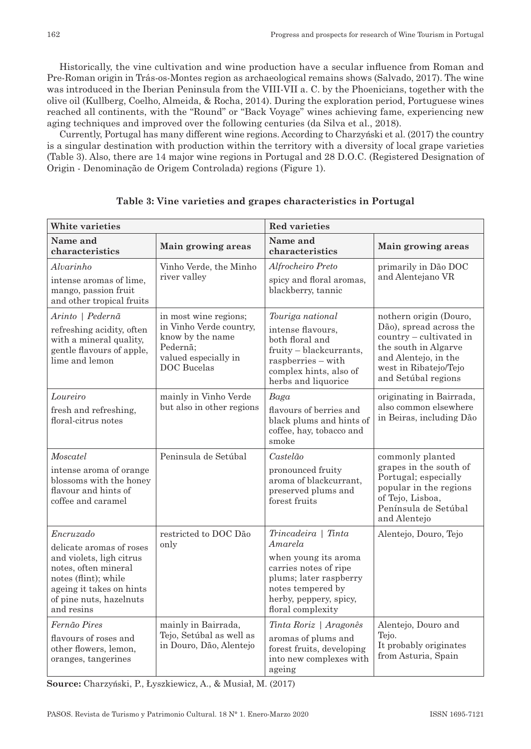Historically, the vine cultivation and wine production have a secular influence from Roman and Pre‑Roman origin in Trás‑os‑Montes region as archaeological remains shows (Salvado, 2017). The wine was introduced in the Iberian Peninsula from the VIII‑VII a. C. by the Phoenicians, together with the olive oil (Kullberg, Coelho, Almeida, & Rocha, 2014). During the exploration period, Portuguese wines reached all continents, with the "Round" or "Back Voyage" wines achieving fame, experiencing new aging techniques and improved over the following centuries (da Silva et al., 2018).

Currently, Portugal has many different wine regions. According to Charzyński et al. (2017) the country is a singular destination with production within the territory with a diversity of local grape varieties (Table 3). Also, there are 14 major wine regions in Portugal and 28 D.O.C. (Registered Designation of Origin ‑ Denominação de Origem Controlada) regions (Figure 1).

| White varieties                                                                                                                                                                        |                                                                                                                         | <b>Red varieties</b>                                                                                                                                                          |                                                                                                                                                                              |  |
|----------------------------------------------------------------------------------------------------------------------------------------------------------------------------------------|-------------------------------------------------------------------------------------------------------------------------|-------------------------------------------------------------------------------------------------------------------------------------------------------------------------------|------------------------------------------------------------------------------------------------------------------------------------------------------------------------------|--|
| Name and<br>characteristics                                                                                                                                                            | Main growing areas                                                                                                      | Name and<br>characteristics                                                                                                                                                   | Main growing areas                                                                                                                                                           |  |
| Alvarinho<br>intense aromas of lime.<br>mango, passion fruit<br>and other tropical fruits                                                                                              | Vinho Verde, the Minho<br>river valley                                                                                  | Alfrocheiro Preto<br>spicy and floral aromas,<br>blackberry, tannic                                                                                                           | primarily in Dão DOC<br>and Alentejano VR                                                                                                                                    |  |
| Arinto   Pedernã<br>refreshing acidity, often<br>with a mineral quality.<br>gentle flavours of apple,<br>lime and lemon                                                                | in most wine regions;<br>in Vinho Verde country,<br>know by the name<br>Pedernã:<br>valued especially in<br>DOC Bucelas | Touriga national<br>intense flavours.<br>both floral and<br>fruity – blackcurrants,<br>$rasplerries - with$<br>complex hints, also of<br>herbs and liquorice                  | nothern origin (Douro,<br>Dão), spread across the<br>country – cultivated in<br>the south in Algarve<br>and Alentejo, in the<br>west in Ribatejo/Tejo<br>and Setúbal regions |  |
| Loureiro<br>fresh and refreshing,<br>floral-citrus notes                                                                                                                               | mainly in Vinho Verde<br>but also in other regions                                                                      | Baga<br>flavours of berries and<br>black plums and hints of<br>coffee, hay, tobacco and<br>smoke                                                                              | originating in Bairrada,<br>also common elsewhere<br>in Beiras, including Dão                                                                                                |  |
| Moscatel<br>intense aroma of orange<br>blossoms with the honey<br>flavour and hints of<br>coffee and caramel                                                                           | Peninsula de Setúbal                                                                                                    | Castelão<br>pronounced fruity<br>aroma of blackcurrant,<br>preserved plums and<br>forest fruits                                                                               | commonly planted<br>grapes in the south of<br>Portugal; especially<br>popular in the regions<br>of Tejo, Lisboa,<br>Península de Setúbal<br>and Alentejo                     |  |
| Encruzado<br>delicate aromas of roses<br>and violets, ligh citrus<br>notes, often mineral<br>notes (flint); while<br>ageing it takes on hints<br>of pine nuts, hazelnuts<br>and resins | restricted to DOC Dão<br>only                                                                                           | Trincadeira   Tinta<br>Amarela<br>when young its aroma<br>carries notes of ripe<br>plums; later raspberry<br>notes tempered by<br>herby, peppery, spicy,<br>floral complexity | Alentejo, Douro, Tejo                                                                                                                                                        |  |
| Fernão Pires<br>flavours of roses and<br>other flowers, lemon,<br>oranges, tangerines                                                                                                  | mainly in Bairrada,<br>Tejo, Setúbal as well as<br>in Douro, Dão, Alentejo                                              | Tinta Roriz   Aragonês<br>aromas of plums and<br>forest fruits, developing<br>into new complexes with<br>ageing                                                               | Alentejo, Douro and<br>Tejo.<br>It probably originates<br>from Asturia, Spain                                                                                                |  |

**Table 3: Vine varieties and grapes characteristics in Portugal** 

**Source:** Charzyński, P., Łyszkiewicz, A., & Musiał, M. (2017)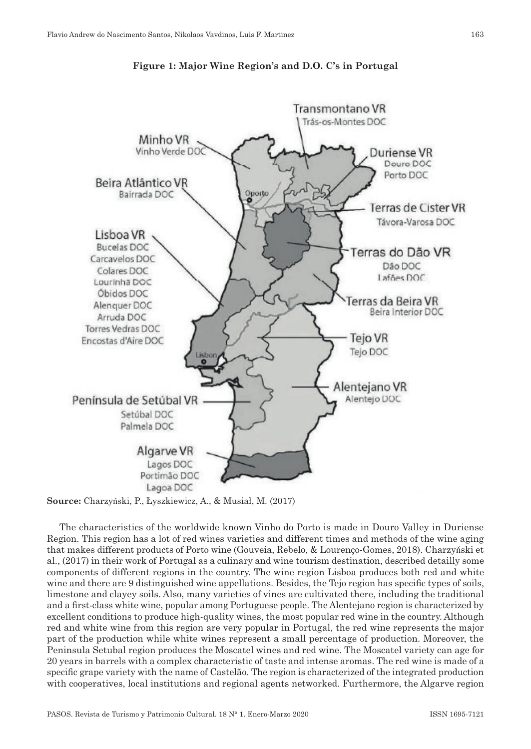

**Figure 1: Major Wine Region's and D.O. C's in Portugal**

**Source:** Charzyński, P., Łyszkiewicz, A., & Musiał, M. (2017)

The characteristics of the worldwide known Vinho do Porto is made in Douro Valley in Duriense Region. This region has a lot of red wines varieties and different times and methods of the wine aging that makes different products of Porto wine (Gouveia, Rebelo, & Lourenço‑Gomes, 2018). Charzyński et al., (2017) in their work of Portugal as a culinary and wine tourism destination, described detailly some components of different regions in the country. The wine region Lisboa produces both red and white wine and there are 9 distinguished wine appellations. Besides, the Tejo region has specific types of soils, limestone and clayey soils. Also, many varieties of vines are cultivated there, including the traditional and a first-class white wine, popular among Portuguese people. The Alentejano region is characterized by excellent conditions to produce high-quality wines, the most popular red wine in the country. Although red and white wine from this region are very popular in Portugal, the red wine represents the major part of the production while white wines represent a small percentage of production. Moreover, the Peninsula Setubal region produces the Moscatel wines and red wine. The Moscatel variety can age for 20 years in barrels with a complex characteristic of taste and intense aromas. The red wine is made of a specific grape variety with the name of Castelão. The region is characterized of the integrated production with cooperatives, local institutions and regional agents networked. Furthermore, the Algarve region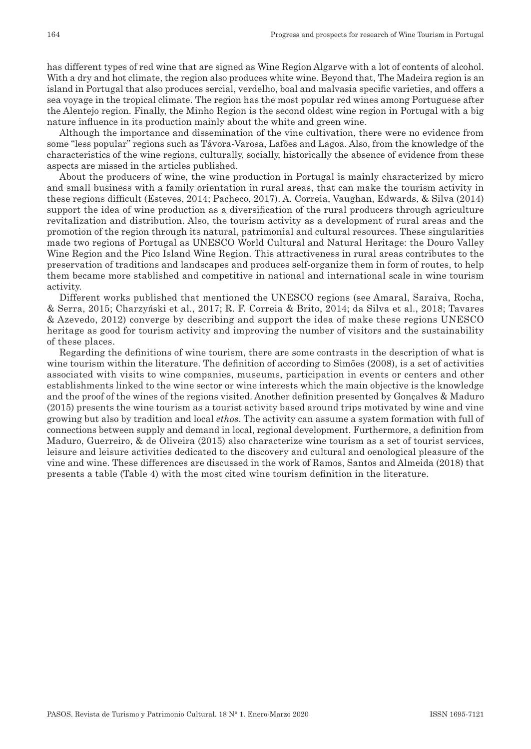has different types of red wine that are signed as Wine Region Algarve with a lot of contents of alcohol. With a dry and hot climate, the region also produces white wine. Beyond that, The Madeira region is an island in Portugal that also produces sercial, verdelho, boal and malvasia specific varieties, and offers a sea voyage in the tropical climate. The region has the most popular red wines among Portuguese after the Alentejo region. Finally, the Minho Region is the second oldest wine region in Portugal with a big nature influence in its production mainly about the white and green wine.

Although the importance and dissemination of the vine cultivation, there were no evidence from some "less popular" regions such as Távora-Varosa, Lafões and Lagoa. Also, from the knowledge of the characteristics of the wine regions, culturally, socially, historically the absence of evidence from these aspects are missed in the articles published.

About the producers of wine, the wine production in Portugal is mainly characterized by micro and small business with a family orientation in rural areas, that can make the tourism activity in these regions difficult (Esteves, 2014; Pacheco, 2017). A. Correia, Vaughan, Edwards, & Silva (2014) support the idea of wine production as a diversification of the rural producers through agriculture revitalization and distribution. Also, the tourism activity as a development of rural areas and the promotion of the region through its natural, patrimonial and cultural resources. These singularities made two regions of Portugal as UNESCO World Cultural and Natural Heritage: the Douro Valley Wine Region and the Pico Island Wine Region. This attractiveness in rural areas contributes to the preservation of traditions and landscapes and produces self‑organize them in form of routes, to help them became more stablished and competitive in national and international scale in wine tourism activity.

Different works published that mentioned the UNESCO regions (see Amaral, Saraiva, Rocha, & Serra, 2015; Charzyński et al., 2017; R. F. Correia & Brito, 2014; da Silva et al., 2018; Tavares & Azevedo, 2012) converge by describing and support the idea of make these regions UNESCO heritage as good for tourism activity and improving the number of visitors and the sustainability of these places.

Regarding the definitions of wine tourism, there are some contrasts in the description of what is wine tourism within the literature. The definition of according to Simões (2008), is a set of activities associated with visits to wine companies, museums, participation in events or centers and other establishments linked to the wine sector or wine interests which the main objective is the knowledge and the proof of the wines of the regions visited. Another definition presented by Gonçalves & Maduro (2015) presents the wine tourism as a tourist activity based around trips motivated by wine and vine growing but also by tradition and local *ethos*. The activity can assume a system formation with full of connections between supply and demand in local, regional development. Furthermore, a definition from Maduro, Guerreiro, & de Oliveira (2015) also characterize wine tourism as a set of tourist services, leisure and leisure activities dedicated to the discovery and cultural and oenological pleasure of the vine and wine. These differences are discussed in the work of Ramos, Santos and Almeida (2018) that presents a table (Table 4) with the most cited wine tourism definition in the literature.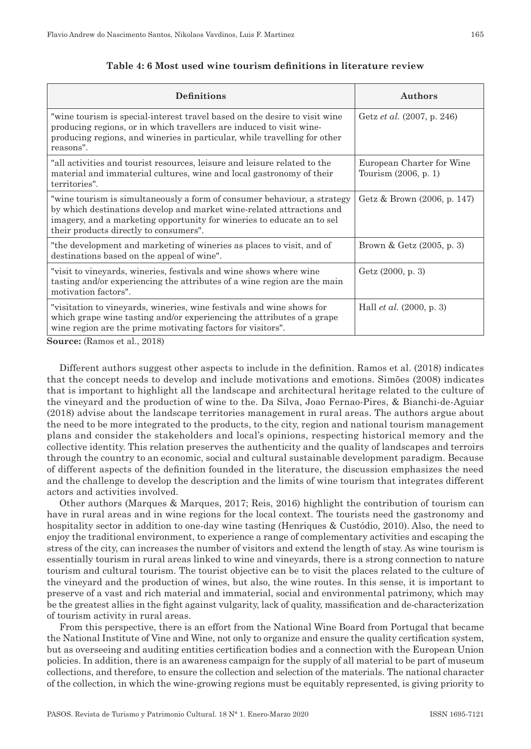| <b>Definitions</b>                                                                                                                                                                                                                                                    | <b>Authors</b>                                    |
|-----------------------------------------------------------------------------------------------------------------------------------------------------------------------------------------------------------------------------------------------------------------------|---------------------------------------------------|
| "wine tourism is special-interest travel based on the desire to visit wine<br>producing regions, or in which travellers are induced to visit wine-<br>producing regions, and wineries in particular, while travelling for other<br>reasons".                          | Getz et al. (2007, p. 246)                        |
| "all activities and tourist resources, leisure and leisure related to the<br>material and immaterial cultures, wine and local gastronomy of their<br>territories".                                                                                                    | European Charter for Wine<br>Tourism (2006, p. 1) |
| "wine tourism is simultaneously a form of consumer behaviour, a strategy<br>by which destinations develop and market wine-related attractions and<br>imagery, and a marketing opportunity for wineries to educate an to sel<br>their products directly to consumers". | Getz & Brown (2006, p. 147)                       |
| "the development and marketing of wineries as places to visit, and of<br>destinations based on the appeal of wine".                                                                                                                                                   | Brown & Getz (2005, p. 3)                         |
| "visit to vineyards, wineries, festivals and wine shows where wine<br>tasting and/or experiencing the attributes of a wine region are the main<br>motivation factors".                                                                                                | Getz $(2000, p. 3)$                               |
| "visitation to vinevards, wineries, wine festivals and wine shows for<br>which grape wine tasting and/or experiencing the attributes of a grape<br>wine region are the prime motivating factors for visitors".                                                        | Hall <i>et al.</i> $(2000, p. 3)$                 |

## **Table 4: 6 Most used wine tourism definitions in literature review**

**Source:** (Ramos et al., 2018)

Different authors suggest other aspects to include in the definition. Ramos et al. (2018) indicates that the concept needs to develop and include motivations and emotions. Simões (2008) indicates that is important to highlight all the landscape and architectural heritage related to the culture of the vineyard and the production of wine to the. Da Silva, Joao Fernao‑Pires, & Bianchi‑de‑Aguiar (2018) advise about the landscape territories management in rural areas. The authors argue about the need to be more integrated to the products, to the city, region and national tourism management plans and consider the stakeholders and local's opinions, respecting historical memory and the collective identity. This relation preserves the authenticity and the quality of landscapes and terroirs through the country to an economic, social and cultural sustainable development paradigm. Because of different aspects of the definition founded in the literature, the discussion emphasizes the need and the challenge to develop the description and the limits of wine tourism that integrates different actors and activities involved.

Other authors (Marques & Marques, 2017; Reis, 2016) highlight the contribution of tourism can have in rural areas and in wine regions for the local context. The tourists need the gastronomy and hospitality sector in addition to one-day wine tasting (Henriques & Custódio, 2010). Also, the need to enjoy the traditional environment, to experience a range of complementary activities and escaping the stress of the city, can increases the number of visitors and extend the length of stay. As wine tourism is essentially tourism in rural areas linked to wine and vineyards, there is a strong connection to nature tourism and cultural tourism. The tourist objective can be to visit the places related to the culture of the vineyard and the production of wines, but also, the wine routes. In this sense, it is important to preserve of a vast and rich material and immaterial, social and environmental patrimony, which may be the greatest allies in the fight against vulgarity, lack of quality, massification and de‑characterization of tourism activity in rural areas.

From this perspective, there is an effort from the National Wine Board from Portugal that became the National Institute of Vine and Wine, not only to organize and ensure the quality certification system, but as overseeing and auditing entities certification bodies and a connection with the European Union policies. In addition, there is an awareness campaign for the supply of all material to be part of museum collections, and therefore, to ensure the collection and selection of the materials. The national character of the collection, in which the wine‑growing regions must be equitably represented, is giving priority to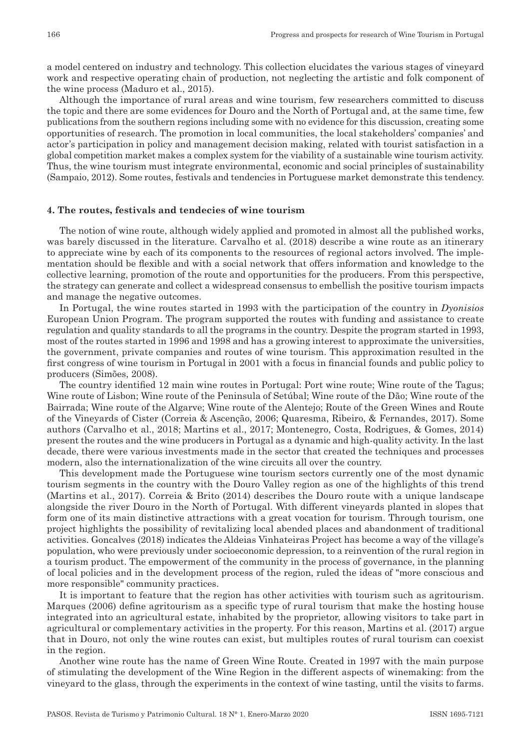a model centered on industry and technology. This collection elucidates the various stages of vineyard work and respective operating chain of production, not neglecting the artistic and folk component of the wine process (Maduro et al., 2015).

Although the importance of rural areas and wine tourism, few researchers committed to discuss the topic and there are some evidences for Douro and the North of Portugal and, at the same time, few publications from the southern regions including some with no evidence for this discussion, creating some opportunities of research. The promotion in local communities, the local stakeholders' companies' and actor's participation in policy and management decision making, related with tourist satisfaction in a global competition market makes a complex system for the viability of a sustainable wine tourism activity. Thus, the wine tourism must integrate environmental, economic and social principles of sustainability (Sampaio, 2012). Some routes, festivals and tendencies in Portuguese market demonstrate this tendency.

#### **4. The routes, festivals and tendecies of wine tourism**

The notion of wine route, although widely applied and promoted in almost all the published works, was barely discussed in the literature. Carvalho et al. (2018) describe a wine route as an itinerary to appreciate wine by each of its components to the resources of regional actors involved. The implementation should be flexible and with a social network that offers information and knowledge to the collective learning, promotion of the route and opportunities for the producers. From this perspective, the strategy can generate and collect a widespread consensus to embellish the positive tourism impacts and manage the negative outcomes.

In Portugal, the wine routes started in 1993 with the participation of the country in *Dyonisios* European Union Program. The program supported the routes with funding and assistance to create regulation and quality standards to all the programs in the country. Despite the program started in 1993, most of the routes started in 1996 and 1998 and has a growing interest to approximate the universities, the government, private companies and routes of wine tourism. This approximation resulted in the first congress of wine tourism in Portugal in 2001 with a focus in financial founds and public policy to producers (Simões, 2008).

The country identified 12 main wine routes in Portugal: Port wine route; Wine route of the Tagus; Wine route of Lisbon; Wine route of the Peninsula of Setúbal; Wine route of the Dão; Wine route of the Bairrada; Wine route of the Algarve; Wine route of the Alentejo; Route of the Green Wines and Route of the Vineyards of Cister (Correia & Ascenção, 2006; Quaresma, Ribeiro, & Fernandes, 2017). Some authors (Carvalho et al., 2018; Martins et al., 2017; Montenegro, Costa, Rodrigues, & Gomes, 2014) present the routes and the wine producers in Portugal as a dynamic and high-quality activity. In the last decade, there were various investments made in the sector that created the techniques and processes modern, also the internationalization of the wine circuits all over the country.

This development made the Portuguese wine tourism sectors currently one of the most dynamic tourism segments in the country with the Douro Valley region as one of the highlights of this trend (Martins et al., 2017). Correia & Brito (2014) describes the Douro route with a unique landscape alongside the river Douro in the North of Portugal. With different vineyards planted in slopes that form one of its main distinctive attractions with a great vocation for tourism. Through tourism, one project highlights the possibility of revitalizing local abended places and abandonment of traditional activities. Goncalves (2018) indicates the Aldeias Vinhateiras Project has become a way of the village's population, who were previously under socioeconomic depression, to a reinvention of the rural region in a tourism product. The empowerment of the community in the process of governance, in the planning of local policies and in the development process of the region, ruled the ideas of "more conscious and more responsible" community practices.

It is important to feature that the region has other activities with tourism such as agritourism. Marques (2006) define agritourism as a specific type of rural tourism that make the hosting house integrated into an agricultural estate, inhabited by the proprietor, allowing visitors to take part in agricultural or complementary activities in the property. For this reason, Martins et al. (2017) argue that in Douro, not only the wine routes can exist, but multiples routes of rural tourism can coexist in the region.

Another wine route has the name of Green Wine Route. Created in 1997 with the main purpose of stimulating the development of the Wine Region in the different aspects of winemaking: from the vineyard to the glass, through the experiments in the context of wine tasting, until the visits to farms.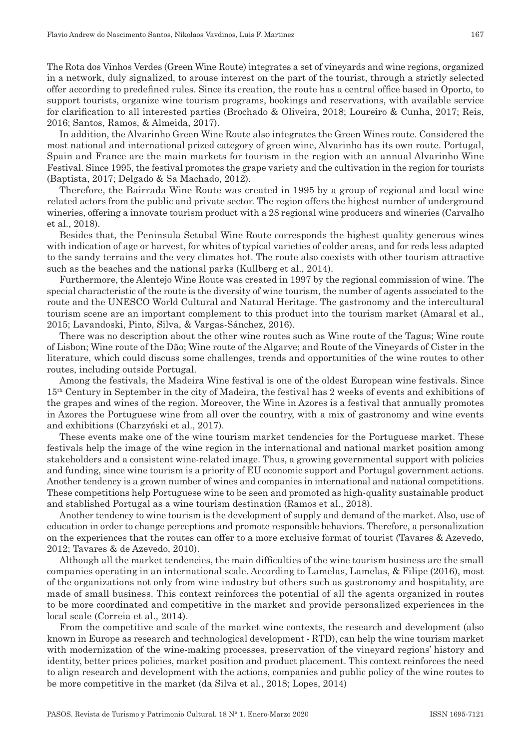The Rota dos Vinhos Verdes (Green Wine Route) integrates a set of vineyards and wine regions, organized in a network, duly signalized, to arouse interest on the part of the tourist, through a strictly selected offer according to predefined rules. Since its creation, the route has a central office based in Oporto, to support tourists, organize wine tourism programs, bookings and reservations, with available service for clarification to all interested parties (Brochado & Oliveira, 2018; Loureiro & Cunha, 2017; Reis, 2016; Santos, Ramos, & Almeida, 2017).

In addition, the Alvarinho Green Wine Route also integrates the Green Wines route. Considered the most national and international prized category of green wine, Alvarinho has its own route. Portugal, Spain and France are the main markets for tourism in the region with an annual Alvarinho Wine Festival. Since 1995, the festival promotes the grape variety and the cultivation in the region for tourists (Baptista, 2017; Delgado & Sa Machado, 2012).

Therefore, the Bairrada Wine Route was created in 1995 by a group of regional and local wine related actors from the public and private sector. The region offers the highest number of underground wineries, offering a innovate tourism product with a 28 regional wine producers and wineries (Carvalho et al., 2018).

Besides that, the Peninsula Setubal Wine Route corresponds the highest quality generous wines with indication of age or harvest, for whites of typical varieties of colder areas, and for reds less adapted to the sandy terrains and the very climates hot. The route also coexists with other tourism attractive such as the beaches and the national parks (Kullberg et al., 2014).

Furthermore, the Alentejo Wine Route was created in 1997 by the regional commission of wine. The special characteristic of the route is the diversity of wine tourism, the number of agents associated to the route and the UNESCO World Cultural and Natural Heritage. The gastronomy and the intercultural tourism scene are an important complement to this product into the tourism market (Amaral et al., 2015; Lavandoski, Pinto, Silva, & Vargas-Sánchez, 2016).

There was no description about the other wine routes such as Wine route of the Tagus; Wine route of Lisbon; Wine route of the Dão; Wine route of the Algarve; and Route of the Vineyards of Cister in the literature, which could discuss some challenges, trends and opportunities of the wine routes to other routes, including outside Portugal.

Among the festivals, the Madeira Wine festival is one of the oldest European wine festivals. Since 15th Century in September in the city of Madeira, the festival has 2 weeks of events and exhibitions of the grapes and wines of the region. Moreover, the Wine in Azores is a festival that annually promotes in Azores the Portuguese wine from all over the country, with a mix of gastronomy and wine events and exhibitions (Charzyński et al., 2017).

These events make one of the wine tourism market tendencies for the Portuguese market. These festivals help the image of the wine region in the international and national market position among stakeholders and a consistent wine‑related image. Thus, a growing governmental support with policies and funding, since wine tourism is a priority of EU economic support and Portugal government actions. Another tendency is a grown number of wines and companies in international and national competitions. These competitions help Portuguese wine to be seen and promoted as high-quality sustainable product and stablished Portugal as a wine tourism destination (Ramos et al., 2018).

Another tendency to wine tourism is the development of supply and demand of the market. Also, use of education in order to change perceptions and promote responsible behaviors. Therefore, a personalization on the experiences that the routes can offer to a more exclusive format of tourist (Tavares & Azevedo, 2012; Tavares & de Azevedo, 2010).

Although all the market tendencies, the main difficulties of the wine tourism business are the small companies operating in an international scale. According to Lamelas, Lamelas, & Filipe (2016), most of the organizations not only from wine industry but others such as gastronomy and hospitality, are made of small business. This context reinforces the potential of all the agents organized in routes to be more coordinated and competitive in the market and provide personalized experiences in the local scale (Correia et al., 2014).

From the competitive and scale of the market wine contexts, the research and development (also known in Europe as research and technological development ‑ RTD), can help the wine tourism market with modernization of the wine-making processes, preservation of the vineyard regions' history and identity, better prices policies, market position and product placement. This context reinforces the need to align research and development with the actions, companies and public policy of the wine routes to be more competitive in the market (da Silva et al., 2018; Lopes, 2014)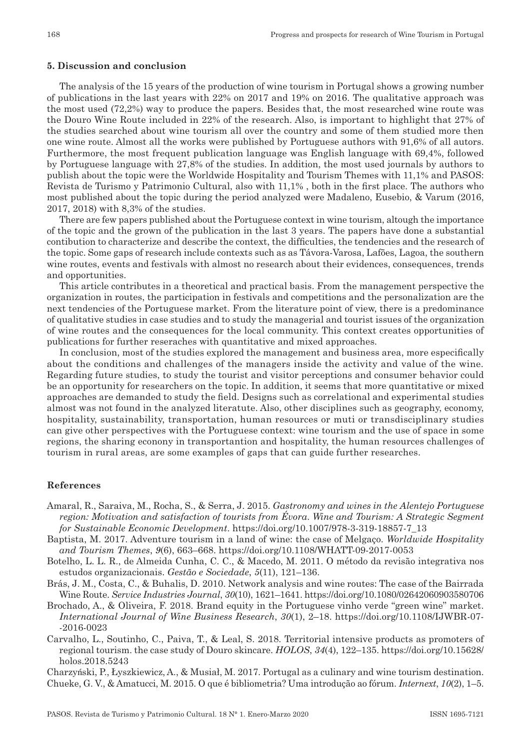#### **5. Discussion and conclusion**

The analysis of the 15 years of the production of wine tourism in Portugal shows a growing number of publications in the last years with 22% on 2017 and 19% on 2016. The qualitative approach was the most used (72,2%) way to produce the papers. Besides that, the most researched wine route was the Douro Wine Route included in 22% of the research. Also, is important to highlight that 27% of the studies searched about wine tourism all over the country and some of them studied more then one wine route. Almost all the works were published by Portuguese authors with 91,6% of all autors. Furthermore, the most frequent publication language was English language with 69,4%, followed by Portuguese language with 27,8% of the studies. In addition, the most used journals by authors to publish about the topic were the Worldwide Hospitality and Tourism Themes with 11,1% and PASOS: Revista de Turismo y Patrimonio Cultural, also with 11,1% , both in the first place. The authors who most published about the topic during the period analyzed were Madaleno, Eusebio, & Varum (2016, 2017, 2018) with 8,3% of the studies.

There are few papers published about the Portuguese context in wine tourism, altough the importance of the topic and the grown of the publication in the last 3 years. The papers have done a substantial contibution to characterize and describe the context, the difficulties, the tendencies and the research of the topic. Some gaps of research include contexts such as as Távora‑Varosa, Lafões, Lagoa, the southern wine routes, events and festivals with almost no research about their evidences, consequences, trends and opportunities.

This article contributes in a theoretical and practical basis. From the management perspective the organization in routes, the participation in festivals and competitions and the personalization are the next tendencies of the Portuguese market. From the literature point of view, there is a predominance of qualitative studies in case studies and to study the managerial and tourist issues of the organization of wine routes and the consequences for the local community. This context creates opportunities of publications for further reseraches with quantitative and mixed approaches.

In conclusion, most of the studies explored the management and business area, more especifically about the conditions and challenges of the managers inside the activity and value of the wine. Regarding future studies, to study the tourist and visitor perceptions and consumer behavior could be an opportunity for researchers on the topic. In addition, it seems that more quantitative or mixed approaches are demanded to study the field. Designs such as correlational and experimental studies almost was not found in the analyzed literatute. Also, other disciplines such as geography, economy, hospitality, sustainability, transportation, human resources or muti or transdisciplinary studies can give other perspectives with the Portuguese context: wine tourism and the use of space in some regions, the sharing econony in transportantion and hospitality, the human resources challenges of tourism in rural areas, are some examples of gaps that can guide further researches.

### **References**

- Amaral, R., Saraiva, M., Rocha, S., & Serra, J. 2015. *Gastronomy and wines in the Alentejo Portuguese region: Motivation and satisfaction of tourists from Évora*. *Wine and Tourism: A Strategic Segment for Sustainable Economic Development*. https://doi.org/10.1007/978‑3‑319‑18857‑7\_13
- Baptista, M. 2017. Adventure tourism in a land of wine: the case of Melgaço. *Worldwide Hospitality and Tourism Themes*, *9*(6), 663–668. https://doi.org/10.1108/WHATT‑09‑2017‑0053
- Botelho, L. L. R., de Almeida Cunha, C. C., & Macedo, M. 2011. O método da revisão integrativa nos estudos organizacionais. *Gestão e Sociedade*, *5*(11), 121–136.
- Brás, J. M., Costa, C., & Buhalis, D. 2010. Network analysis and wine routes: The case of the Bairrada Wine Route. *Service Industries Journal*, *30*(10), 1621–1641. https://doi.org/10.1080/02642060903580706
- Brochado, A., & Oliveira, F. 2018. Brand equity in the Portuguese vinho verde "green wine" market. *International Journal of Wine Business Research*, *30*(1), 2–18. https://doi.org/10.1108/IJWBR‑07‑ ‑2016‑0023
- Carvalho, L., Soutinho, C., Paiva, T., & Leal, S. 2018. Territorial intensive products as promoters of regional tourism. the case study of Douro skincare. *HOLOS*, *34*(4), 122–135. https://doi.org/10.15628/ holos.2018.5243

Charzyński, P., Łyszkiewicz, A., & Musiał, M. 2017. Portugal as a culinary and wine tourism destination. Chueke, G. V., & Amatucci, M. 2015. O que é bibliometria? Uma introdução ao fórum. *Internext*, *10*(2), 1–5.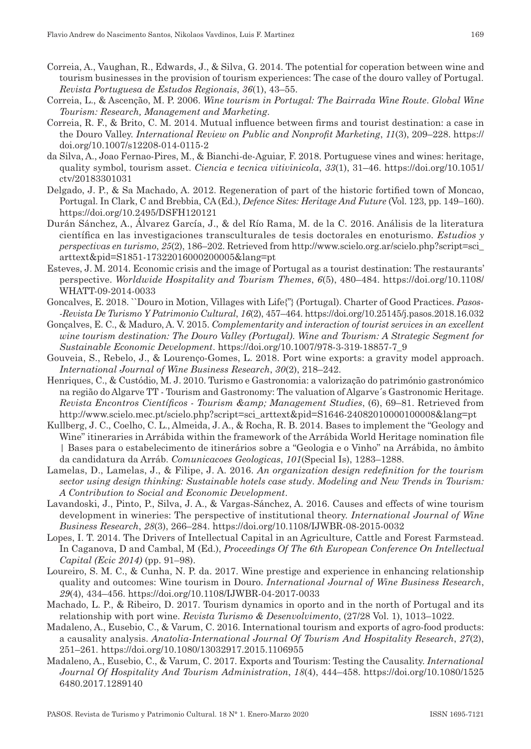- Correia, A., Vaughan, R., Edwards, J., & Silva, G. 2014. The potential for coperation between wine and tourism businesses in the provision of tourism experiences: The case of the douro valley of Portugal. *Revista Portuguesa de Estudos Regionais*, *36*(1), 43–55.
- Correia, L., & Ascenção, M. P. 2006. *Wine tourism in Portugal: The Bairrada Wine Route*. *Global Wine Tourism: Research, Management and Marketing*.
- Correia, R. F., & Brito, C. M. 2014. Mutual influence between firms and tourist destination: a case in the Douro Valley. *International Review on Public and Nonprofit Marketing*, *11*(3), 209–228. https:// doi.org/10.1007/s12208‑014‑0115‑2
- da Silva, A., Joao Fernao‑Pires, M., & Bianchi‑de‑Aguiar, F. 2018. Portuguese vines and wines: heritage, quality symbol, tourism asset. *Ciencia e tecnica vitivinicola*, *33*(1), 31–46. https://doi.org/10.1051/ ctv/20183301031
- Delgado, J. P., & Sa Machado, A. 2012. Regeneration of part of the historic fortified town of Moncao, Portugal. In Clark, C and Brebbia, CA (Ed.), *Defence Sites: Heritage And Future* (Vol. 123, pp. 149–160). https://doi.org/10.2495/DSFH120121
- Durán Sánchez, A., Álvarez García, J., & del Río Rama, M. de la C. 2016. Análisis de la literatura científica en las investigaciones transculturales de tesis doctorales en enoturismo. *Estudios y perspectivas en turismo*, *25*(2), 186–202. Retrieved from http://www.scielo.org.ar/scielo.php?script=sci\_ arttext&pid=S1851‑17322016000200005&lang=pt
- Esteves, J. M. 2014. Economic crisis and the image of Portugal as a tourist destination: The restaurants' perspective. *Worldwide Hospitality and Tourism Themes*, *6*(5), 480–484. https://doi.org/10.1108/ WHATT‑09‑2014‑0033
- Goncalves, E. 2018. ``Douro in Motion, Villages with Life{''} (Portugal). Charter of Good Practices. *Pasos‑ ‑Revista De Turismo Y Patrimonio Cultural*, *16*(2), 457–464. https://doi.org/10.25145/j.pasos.2018.16.032
- Gonçalves, E. C., & Maduro, A. V. 2015. *Complementarity and interaction of tourist services in an excellent wine tourism destination: The Douro Valley (Portugal)*. *Wine and Tourism: A Strategic Segment for Sustainable Economic Development*. https://doi.org/10.1007/978‑3‑319‑18857‑7\_9
- Gouveia, S., Rebelo, J., & Lourenço‑Gomes, L. 2018. Port wine exports: a gravity model approach. *International Journal of Wine Business Research*, *30*(2), 218–242.
- Henriques, C., & Custódio, M. J. 2010. Turismo e Gastronomia: a valorização do património gastronómico na região do Algarve TT ‑ Tourism and Gastronomy: The valuation of Algarve´s Gastronomic Heritage. *Revista Encontros Científicos ‑ Tourism & Management Studies*, (6), 69–81. Retrieved from http://www.scielo.mec.pt/scielo.php?script=sci\_arttext&pid=S1646‑24082010000100008&lang=pt
- Kullberg, J. C., Coelho, C. L., Almeida, J. A., & Rocha, R. B. 2014. Bases to implement the "Geology and Wine" itineraries in Arrábida within the framework of the Arrábida World Heritage nomination file | Bases para o estabelecimento de itinerários sobre a "Geologia e o Vinho" na Arrábida, no âmbito da candidatura da Arráb. *Comunicacoes Geologicas*, *101*(Special Is), 1283–1288.
- Lamelas, D., Lamelas, J., & Filipe, J. A. 2016. *An organization design redefinition for the tourism sector using design thinking: Sustainable hotels case study*. *Modeling and New Trends in Tourism: A Contribution to Social and Economic Development*.
- Lavandoski, J., Pinto, P., Silva, J. A., & Vargas‑Sánchez, A. 2016. Causes and effects of wine tourism development in wineries: The perspective of institutional theory. *International Journal of Wine Business Research*, *28*(3), 266–284. https://doi.org/10.1108/IJWBR‑08‑2015‑0032
- Lopes, I. T. 2014. The Drivers of Intellectual Capital in an Agriculture, Cattle and Forest Farmstead. In Caganova, D and Cambal, M (Ed.), *Proceedings Of The 6th European Conference On Intellectual Capital (Ecic 2014)* (pp. 91–98).
- Loureiro, S. M. C., & Cunha, N. P. da. 2017. Wine prestige and experience in enhancing relationship quality and outcomes: Wine tourism in Douro. *International Journal of Wine Business Research*, *29*(4), 434–456. https://doi.org/10.1108/IJWBR‑04‑2017‑0033
- Machado, L. P., & Ribeiro, D. 2017. Tourism dynamics in oporto and in the north of Portugal and its relationship with port wine. *Revista Turismo & Desenvolvimento*, (27/28 Vol. 1), 1013–1022.
- Madaleno, A., Eusebio, C., & Varum, C. 2016. International tourism and exports of agro-food products: a causality analysis. *Anatolia‑International Journal Of Tourism And Hospitality Research*, *27*(2), 251–261. https://doi.org/10.1080/13032917.2015.1106955
- Madaleno, A., Eusebio, C., & Varum, C. 2017. Exports and Tourism: Testing the Causality. *International Journal Of Hospitality And Tourism Administration*, *18*(4), 444–458. https://doi.org/10.1080/1525 6480.2017.1289140